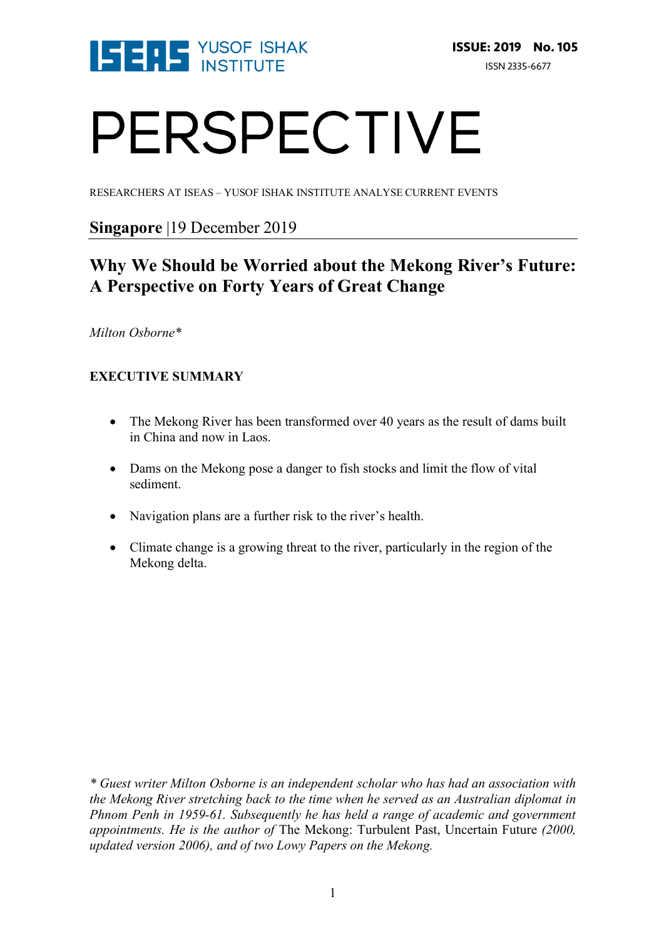

# PERSPECTIVE

RESEARCHERS AT ISEAS – YUSOF ISHAK INSTITUTE ANALYSE CURRENT EVENTS

### **Singapore** |19 December 2019

## **Why We Should be Worried about the Mekong River's Future: A Perspective on Forty Years of Great Change**

#### *Milton Osborne\**

#### **EXECUTIVE SUMMARY**

- The Mekong River has been transformed over 40 years as the result of dams built in China and now in Laos.
- Dams on the Mekong pose a danger to fish stocks and limit the flow of vital sediment.
- Navigation plans are a further risk to the river's health.
- Climate change is a growing threat to the river, particularly in the region of the Mekong delta.

*\* Guest writer Milton Osborne is an independent scholar who has had an association with the Mekong River stretching back to the time when he served as an Australian diplomat in Phnom Penh in 1959-61. Subsequently he has held a range of academic and government appointments. He is the author of* The Mekong: Turbulent Past, Uncertain Future *(2000, updated version 2006), and of two Lowy Papers on the Mekong.*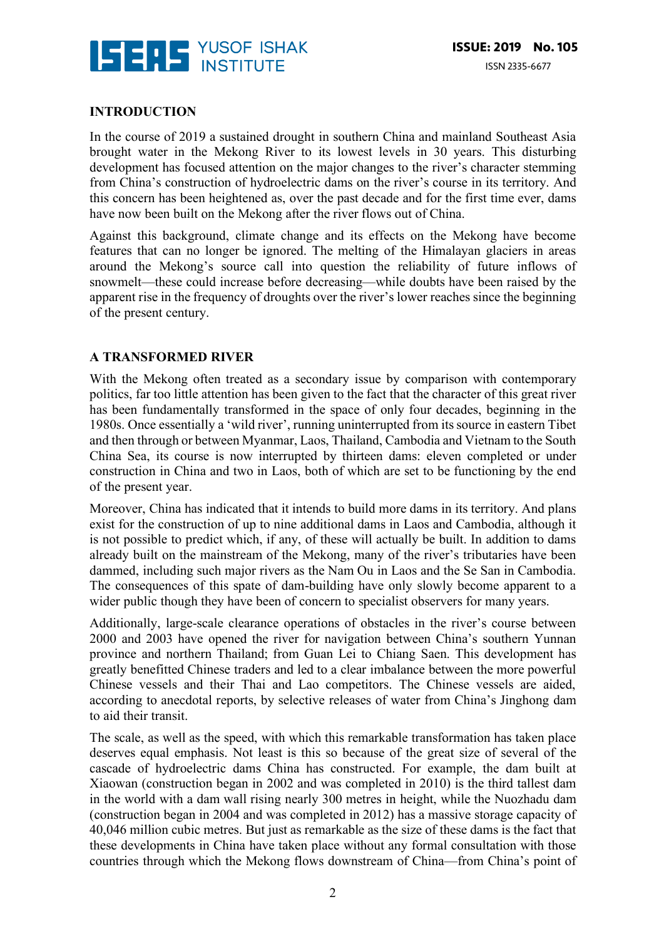

#### **INTRODUCTION**

In the course of 2019 a sustained drought in southern China and mainland Southeast Asia brought water in the Mekong River to its lowest levels in 30 years. This disturbing development has focused attention on the major changes to the river's character stemming from China's construction of hydroelectric dams on the river's course in its territory. And this concern has been heightened as, over the past decade and for the first time ever, dams have now been built on the Mekong after the river flows out of China.

Against this background, climate change and its effects on the Mekong have become features that can no longer be ignored. The melting of the Himalayan glaciers in areas around the Mekong's source call into question the reliability of future inflows of snowmelt—these could increase before decreasing—while doubts have been raised by the apparent rise in the frequency of droughts over the river's lower reaches since the beginning of the present century.

#### **A TRANSFORMED RIVER**

With the Mekong often treated as a secondary issue by comparison with contemporary politics, far too little attention has been given to the fact that the character of this great river has been fundamentally transformed in the space of only four decades, beginning in the 1980s. Once essentially a 'wild river', running uninterrupted from its source in eastern Tibet and then through or between Myanmar, Laos, Thailand, Cambodia and Vietnam to the South China Sea, its course is now interrupted by thirteen dams: eleven completed or under construction in China and two in Laos, both of which are set to be functioning by the end of the present year.

Moreover, China has indicated that it intends to build more dams in its territory. And plans exist for the construction of up to nine additional dams in Laos and Cambodia, although it is not possible to predict which, if any, of these will actually be built. In addition to dams already built on the mainstream of the Mekong, many of the river's tributaries have been dammed, including such major rivers as the Nam Ou in Laos and the Se San in Cambodia. The consequences of this spate of dam-building have only slowly become apparent to a wider public though they have been of concern to specialist observers for many years.

Additionally, large-scale clearance operations of obstacles in the river's course between 2000 and 2003 have opened the river for navigation between China's southern Yunnan province and northern Thailand; from Guan Lei to Chiang Saen. This development has greatly benefitted Chinese traders and led to a clear imbalance between the more powerful Chinese vessels and their Thai and Lao competitors. The Chinese vessels are aided, according to anecdotal reports, by selective releases of water from China's Jinghong dam to aid their transit.

The scale, as well as the speed, with which this remarkable transformation has taken place deserves equal emphasis. Not least is this so because of the great size of several of the cascade of hydroelectric dams China has constructed. For example, the dam built at Xiaowan (construction began in 2002 and was completed in 2010) is the third tallest dam in the world with a dam wall rising nearly 300 metres in height, while the Nuozhadu dam (construction began in 2004 and was completed in 2012) has a massive storage capacity of 40,046 million cubic metres. But just as remarkable as the size of these dams is the fact that these developments in China have taken place without any formal consultation with those countries through which the Mekong flows downstream of China—from China's point of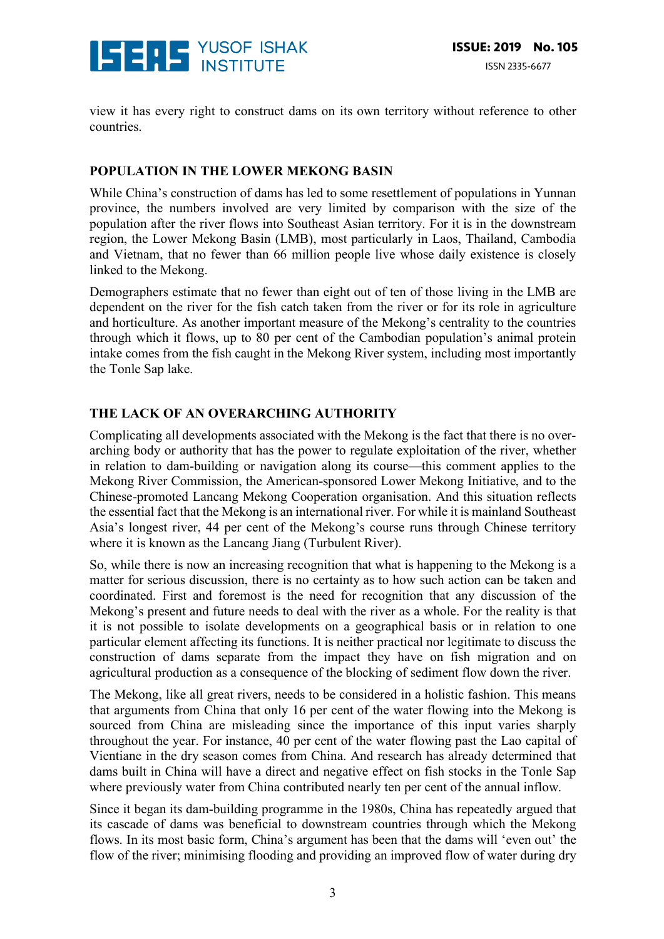

view it has every right to construct dams on its own territory without reference to other countries.

#### **POPULATION IN THE LOWER MEKONG BASIN**

While China's construction of dams has led to some resettlement of populations in Yunnan province, the numbers involved are very limited by comparison with the size of the population after the river flows into Southeast Asian territory. For it is in the downstream region, the Lower Mekong Basin (LMB), most particularly in Laos, Thailand, Cambodia and Vietnam, that no fewer than 66 million people live whose daily existence is closely linked to the Mekong.

Demographers estimate that no fewer than eight out of ten of those living in the LMB are dependent on the river for the fish catch taken from the river or for its role in agriculture and horticulture. As another important measure of the Mekong's centrality to the countries through which it flows, up to 80 per cent of the Cambodian population's animal protein intake comes from the fish caught in the Mekong River system, including most importantly the Tonle Sap lake.

#### **THE LACK OF AN OVERARCHING AUTHORITY**

Complicating all developments associated with the Mekong is the fact that there is no overarching body or authority that has the power to regulate exploitation of the river, whether in relation to dam-building or navigation along its course—this comment applies to the Mekong River Commission, the American-sponsored Lower Mekong Initiative, and to the Chinese-promoted Lancang Mekong Cooperation organisation. And this situation reflects the essential fact that the Mekong is an international river. For while it is mainland Southeast Asia's longest river, 44 per cent of the Mekong's course runs through Chinese territory where it is known as the Lancang Jiang (Turbulent River).

So, while there is now an increasing recognition that what is happening to the Mekong is a matter for serious discussion, there is no certainty as to how such action can be taken and coordinated. First and foremost is the need for recognition that any discussion of the Mekong's present and future needs to deal with the river as a whole. For the reality is that it is not possible to isolate developments on a geographical basis or in relation to one particular element affecting its functions. It is neither practical nor legitimate to discuss the construction of dams separate from the impact they have on fish migration and on agricultural production as a consequence of the blocking of sediment flow down the river.

The Mekong, like all great rivers, needs to be considered in a holistic fashion. This means that arguments from China that only 16 per cent of the water flowing into the Mekong is sourced from China are misleading since the importance of this input varies sharply throughout the year. For instance, 40 per cent of the water flowing past the Lao capital of Vientiane in the dry season comes from China. And research has already determined that dams built in China will have a direct and negative effect on fish stocks in the Tonle Sap where previously water from China contributed nearly ten per cent of the annual inflow.

Since it began its dam-building programme in the 1980s, China has repeatedly argued that its cascade of dams was beneficial to downstream countries through which the Mekong flows. In its most basic form, China's argument has been that the dams will 'even out' the flow of the river; minimising flooding and providing an improved flow of water during dry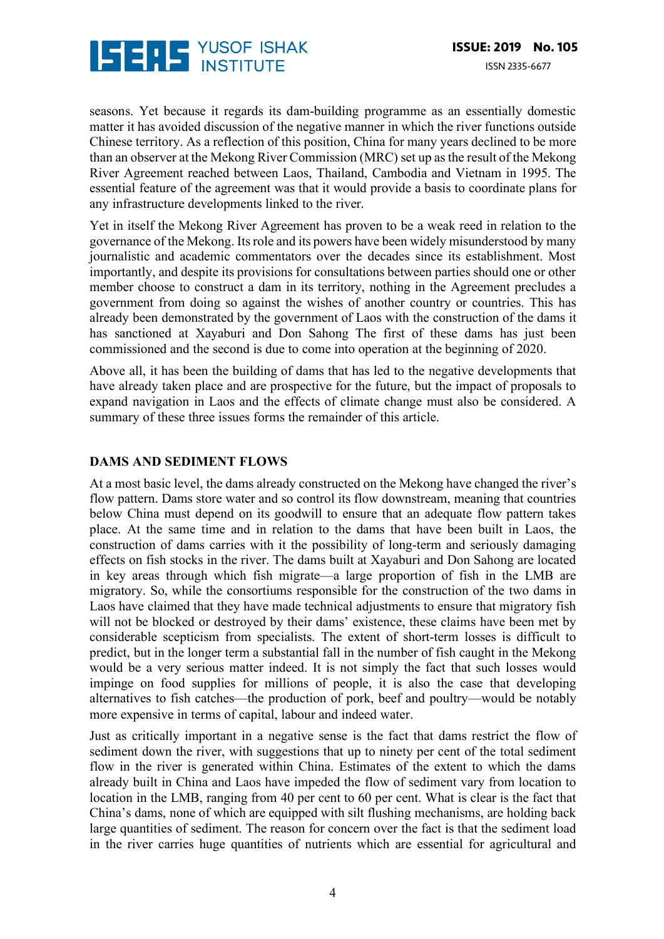

seasons. Yet because it regards its dam-building programme as an essentially domestic matter it has avoided discussion of the negative manner in which the river functions outside Chinese territory. As a reflection of this position, China for many years declined to be more than an observer at the Mekong River Commission (MRC) set up as the result of the Mekong River Agreement reached between Laos, Thailand, Cambodia and Vietnam in 1995. The essential feature of the agreement was that it would provide a basis to coordinate plans for any infrastructure developments linked to the river.

Yet in itself the Mekong River Agreement has proven to be a weak reed in relation to the governance of the Mekong. Its role and its powers have been widely misunderstood by many journalistic and academic commentators over the decades since its establishment. Most importantly, and despite its provisions for consultations between parties should one or other member choose to construct a dam in its territory, nothing in the Agreement precludes a government from doing so against the wishes of another country or countries. This has already been demonstrated by the government of Laos with the construction of the dams it has sanctioned at Xayaburi and Don Sahong The first of these dams has just been commissioned and the second is due to come into operation at the beginning of 2020.

Above all, it has been the building of dams that has led to the negative developments that have already taken place and are prospective for the future, but the impact of proposals to expand navigation in Laos and the effects of climate change must also be considered. A summary of these three issues forms the remainder of this article.

#### **DAMS AND SEDIMENT FLOWS**

At a most basic level, the dams already constructed on the Mekong have changed the river's flow pattern. Dams store water and so control its flow downstream, meaning that countries below China must depend on its goodwill to ensure that an adequate flow pattern takes place. At the same time and in relation to the dams that have been built in Laos, the construction of dams carries with it the possibility of long-term and seriously damaging effects on fish stocks in the river. The dams built at Xayaburi and Don Sahong are located in key areas through which fish migrate—a large proportion of fish in the LMB are migratory. So, while the consortiums responsible for the construction of the two dams in Laos have claimed that they have made technical adjustments to ensure that migratory fish will not be blocked or destroyed by their dams' existence, these claims have been met by considerable scepticism from specialists. The extent of short-term losses is difficult to predict, but in the longer term a substantial fall in the number of fish caught in the Mekong would be a very serious matter indeed. It is not simply the fact that such losses would impinge on food supplies for millions of people, it is also the case that developing alternatives to fish catches—the production of pork, beef and poultry—would be notably more expensive in terms of capital, labour and indeed water.

Just as critically important in a negative sense is the fact that dams restrict the flow of sediment down the river, with suggestions that up to ninety per cent of the total sediment flow in the river is generated within China. Estimates of the extent to which the dams already built in China and Laos have impeded the flow of sediment vary from location to location in the LMB, ranging from 40 per cent to 60 per cent. What is clear is the fact that China's dams, none of which are equipped with silt flushing mechanisms, are holding back large quantities of sediment. The reason for concern over the fact is that the sediment load in the river carries huge quantities of nutrients which are essential for agricultural and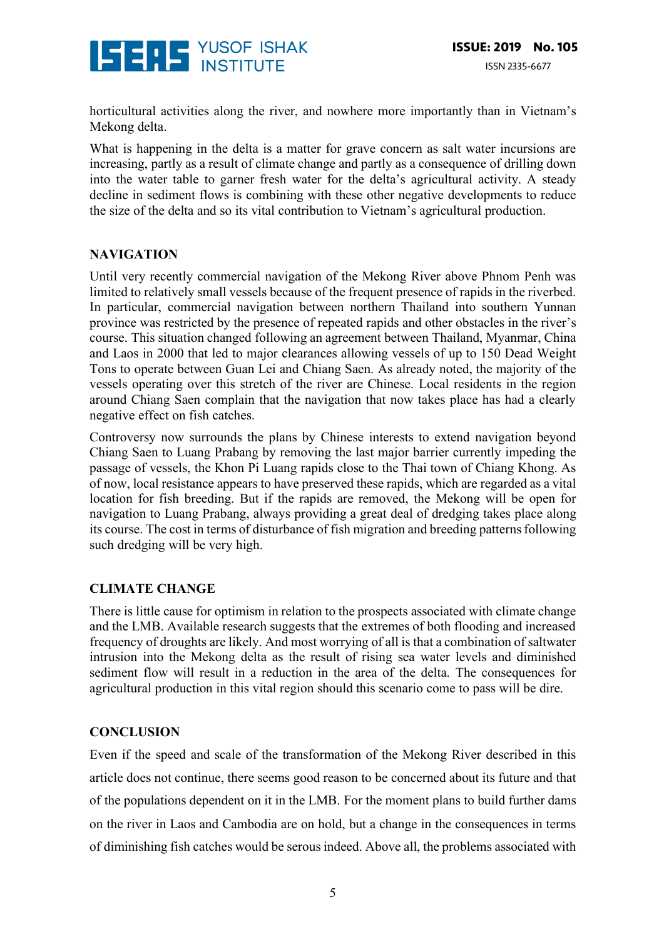

horticultural activities along the river, and nowhere more importantly than in Vietnam's Mekong delta.

What is happening in the delta is a matter for grave concern as salt water incursions are increasing, partly as a result of climate change and partly as a consequence of drilling down into the water table to garner fresh water for the delta's agricultural activity. A steady decline in sediment flows is combining with these other negative developments to reduce the size of the delta and so its vital contribution to Vietnam's agricultural production.

#### **NAVIGATION**

Until very recently commercial navigation of the Mekong River above Phnom Penh was limited to relatively small vessels because of the frequent presence of rapids in the riverbed. In particular, commercial navigation between northern Thailand into southern Yunnan province was restricted by the presence of repeated rapids and other obstacles in the river's course. This situation changed following an agreement between Thailand, Myanmar, China and Laos in 2000 that led to major clearances allowing vessels of up to 150 Dead Weight Tons to operate between Guan Lei and Chiang Saen. As already noted, the majority of the vessels operating over this stretch of the river are Chinese. Local residents in the region around Chiang Saen complain that the navigation that now takes place has had a clearly negative effect on fish catches.

Controversy now surrounds the plans by Chinese interests to extend navigation beyond Chiang Saen to Luang Prabang by removing the last major barrier currently impeding the passage of vessels, the Khon Pi Luang rapids close to the Thai town of Chiang Khong. As of now, local resistance appears to have preserved these rapids, which are regarded as a vital location for fish breeding. But if the rapids are removed, the Mekong will be open for navigation to Luang Prabang, always providing a great deal of dredging takes place along its course. The cost in terms of disturbance of fish migration and breeding patterns following such dredging will be very high.

#### **CLIMATE CHANGE**

There is little cause for optimism in relation to the prospects associated with climate change and the LMB. Available research suggests that the extremes of both flooding and increased frequency of droughts are likely. And most worrying of all is that a combination of saltwater intrusion into the Mekong delta as the result of rising sea water levels and diminished sediment flow will result in a reduction in the area of the delta. The consequences for agricultural production in this vital region should this scenario come to pass will be dire.

#### **CONCLUSION**

Even if the speed and scale of the transformation of the Mekong River described in this article does not continue, there seems good reason to be concerned about its future and that of the populations dependent on it in the LMB. For the moment plans to build further dams on the river in Laos and Cambodia are on hold, but a change in the consequences in terms of diminishing fish catches would be serous indeed. Above all, the problems associated with